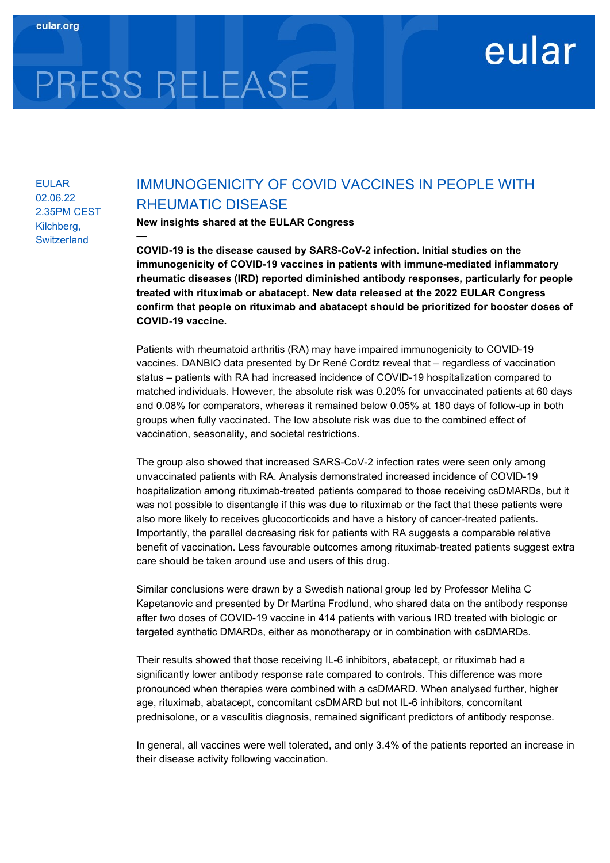# PRESS RELEASE

—

# EULAR 02.06.22 2.35PM CEST Kilchberg, **Switzerland**

# IMMUNOGENICITY OF COVID VACCINES IN PEOPLE WITH RHEUMATIC DISEASE

eular

New insights shared at the EULAR Congress

COVID-19 is the disease caused by SARS-CoV-2 infection. Initial studies on the immunogenicity of COVID-19 vaccines in patients with immune-mediated inflammatory rheumatic diseases (IRD) reported diminished antibody responses, particularly for people treated with rituximab or abatacept. New data released at the 2022 EULAR Congress confirm that people on rituximab and abatacept should be prioritized for booster doses of COVID-19 vaccine.

Patients with rheumatoid arthritis (RA) may have impaired immunogenicity to COVID-19 vaccines. DANBIO data presented by Dr René Cordtz reveal that – regardless of vaccination status – patients with RA had increased incidence of COVID-19 hospitalization compared to matched individuals. However, the absolute risk was 0.20% for unvaccinated patients at 60 days and 0.08% for comparators, whereas it remained below 0.05% at 180 days of follow-up in both groups when fully vaccinated. The low absolute risk was due to the combined effect of vaccination, seasonality, and societal restrictions.

The group also showed that increased SARS-CoV-2 infection rates were seen only among unvaccinated patients with RA. Analysis demonstrated increased incidence of COVID-19 hospitalization among rituximab-treated patients compared to those receiving csDMARDs, but it was not possible to disentangle if this was due to rituximab or the fact that these patients were also more likely to receives glucocorticoids and have a history of cancer-treated patients. Importantly, the parallel decreasing risk for patients with RA suggests a comparable relative benefit of vaccination. Less favourable outcomes among rituximab-treated patients suggest extra care should be taken around use and users of this drug.

Similar conclusions were drawn by a Swedish national group led by Professor Meliha C Kapetanovic and presented by Dr Martina Frodlund, who shared data on the antibody response after two doses of COVID-19 vaccine in 414 patients with various IRD treated with biologic or targeted synthetic DMARDs, either as monotherapy or in combination with csDMARDs.

Their results showed that those receiving IL-6 inhibitors, abatacept, or rituximab had a significantly lower antibody response rate compared to controls. This difference was more pronounced when therapies were combined with a csDMARD. When analysed further, higher age, rituximab, abatacept, concomitant csDMARD but not IL-6 inhibitors, concomitant prednisolone, or a vasculitis diagnosis, remained significant predictors of antibody response.

In general, all vaccines were well tolerated, and only 3.4% of the patients reported an increase in their disease activity following vaccination.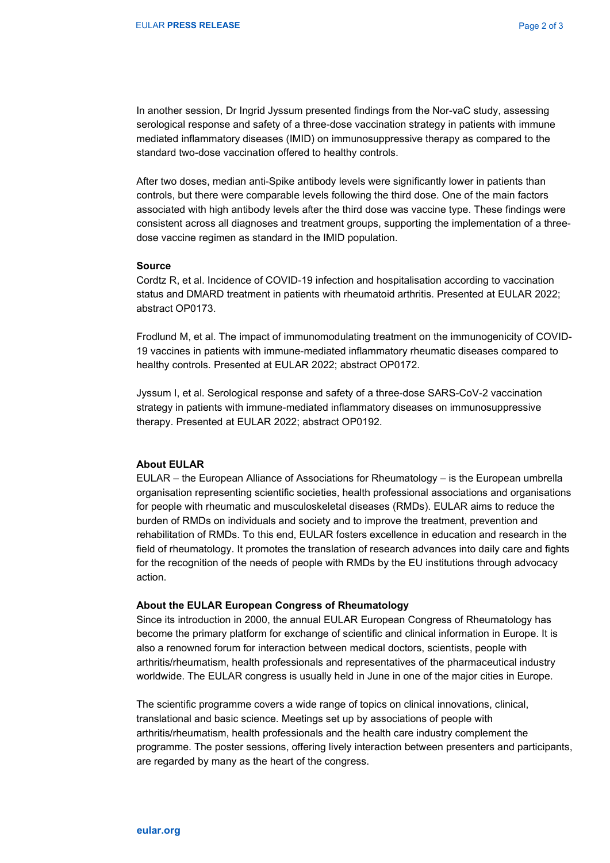In another session, Dr Ingrid Jyssum presented findings from the Nor-vaC study, assessing serological response and safety of a three-dose vaccination strategy in patients with immune mediated inflammatory diseases (IMID) on immunosuppressive therapy as compared to the standard two-dose vaccination offered to healthy controls.

After two doses, median anti-Spike antibody levels were significantly lower in patients than controls, but there were comparable levels following the third dose. One of the main factors associated with high antibody levels after the third dose was vaccine type. These findings were consistent across all diagnoses and treatment groups, supporting the implementation of a threedose vaccine regimen as standard in the IMID population.

#### Source

Cordtz R, et al. Incidence of COVID-19 infection and hospitalisation according to vaccination status and DMARD treatment in patients with rheumatoid arthritis. Presented at EULAR 2022; abstract OP0173.

Frodlund M, et al. The impact of immunomodulating treatment on the immunogenicity of COVID-19 vaccines in patients with immune-mediated inflammatory rheumatic diseases compared to healthy controls. Presented at EULAR 2022; abstract OP0172.

Jyssum I, et al. Serological response and safety of a three-dose SARS-CoV-2 vaccination strategy in patients with immune-mediated inflammatory diseases on immunosuppressive therapy. Presented at EULAR 2022; abstract OP0192.

### About EULAR

EULAR – the European Alliance of Associations for Rheumatology – is the European umbrella organisation representing scientific societies, health professional associations and organisations for people with rheumatic and musculoskeletal diseases (RMDs). EULAR aims to reduce the burden of RMDs on individuals and society and to improve the treatment, prevention and rehabilitation of RMDs. To this end, EULAR fosters excellence in education and research in the field of rheumatology. It promotes the translation of research advances into daily care and fights for the recognition of the needs of people with RMDs by the EU institutions through advocacy action.

#### About the EULAR European Congress of Rheumatology

Since its introduction in 2000, the annual EULAR European Congress of Rheumatology has become the primary platform for exchange of scientific and clinical information in Europe. It is also a renowned forum for interaction between medical doctors, scientists, people with arthritis/rheumatism, health professionals and representatives of the pharmaceutical industry worldwide. The EULAR congress is usually held in June in one of the major cities in Europe.

The scientific programme covers a wide range of topics on clinical innovations, clinical, translational and basic science. Meetings set up by associations of people with arthritis/rheumatism, health professionals and the health care industry complement the programme. The poster sessions, offering lively interaction between presenters and participants, are regarded by many as the heart of the congress.